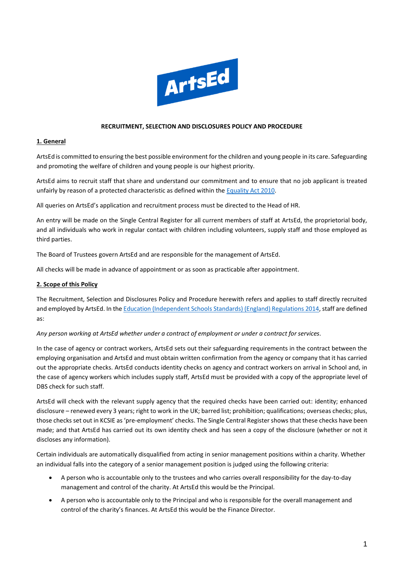

### **RECRUITMENT, SELECTION AND DISCLOSURES POLICY AND PROCEDURE**

### **1. General**

ArtsEd is committed to ensuring the best possible environment for the children and young people in its care. Safeguarding and promoting the welfare of children and young people is our highest priority.

ArtsEd aims to recruit staff that share and understand our commitment and to ensure that no job applicant is treated unfairly by reason of a protected characteristic as defined within the [Equality Act 2010.](https://www.gov.uk/guidance/equality-act-2010-guidance)

All queries on ArtsEd's application and recruitment process must be directed to the Head of HR.

An entry will be made on the Single Central Register for all current members of staff at ArtsEd, the proprietorial body, and all individuals who work in regular contact with children including volunteers, supply staff and those employed as third parties.

The Board of Trustees govern ArtsEd and are responsible for the management of ArtsEd.

All checks will be made in advance of appointment or as soon as practicable after appointment.

### **2. Scope of this Policy**

The Recruitment, Selection and Disclosures Policy and Procedure herewith refers and applies to staff directly recruited and employed by ArtsEd. In th[e Education \(Independent Schools Standards\) \(England\) Regulations 2014,](https://assets.publishing.service.gov.uk/government/uploads/system/uploads/attachment_data/file/800615/Independent_School_Standards-_Guidance_070519.pdf) staff are defined as:

#### *Any person working at ArtsEd whether under a contract of employment or under a contract for services.*

In the case of agency or contract workers, ArtsEd sets out their safeguarding requirements in the contract between the employing organisation and ArtsEd and must obtain written confirmation from the agency or company that it has carried out the appropriate checks. ArtsEd conducts identity checks on agency and contract workers on arrival in School and, in the case of agency workers which includes supply staff, ArtsEd must be provided with a copy of the appropriate level of DBS check for such staff.

ArtsEd will check with the relevant supply agency that the required checks have been carried out: identity; enhanced disclosure – renewed every 3 years; right to work in the UK; barred list; prohibition; qualifications; overseas checks; plus, those checks set out in KCSIE as 'pre-employment' checks. The Single Central Register shows that these checks have been made; and that ArtsEd has carried out its own identity check and has seen a copy of the disclosure (whether or not it discloses any information).

Certain individuals are automatically disqualified from acting in senior management positions within a charity. Whether an individual falls into the category of a senior management position is judged using the following criteria:

- A person who is accountable only to the trustees and who carries overall responsibility for the day-to-day management and control of the charity. At ArtsEd this would be the Principal.
- A person who is accountable only to the Principal and who is responsible for the overall management and control of the charity's finances. At ArtsEd this would be the Finance Director.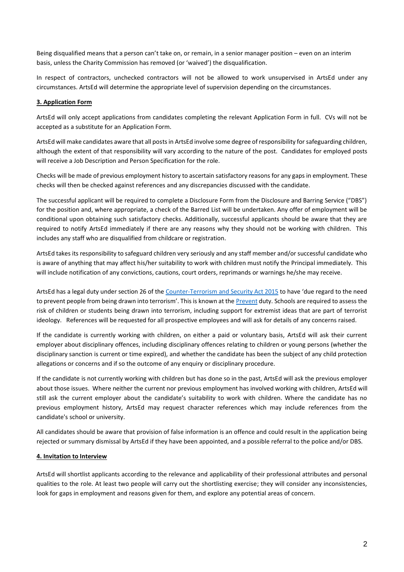Being disqualified means that a person can't take on, or remain, in a senior manager position – even on an interim basis, unless the Charity Commission has removed (or 'waived') the disqualification.

In respect of contractors, unchecked contractors will not be allowed to work unsupervised in ArtsEd under any circumstances. ArtsEd will determine the appropriate level of supervision depending on the circumstances.

### **3. Application Form**

ArtsEd will only accept applications from candidates completing the relevant Application Form in full. CVs will not be accepted as a substitute for an Application Form.

ArtsEd will make candidates aware that all posts in ArtsEd involve some degree of responsibility for safeguarding children, although the extent of that responsibility will vary according to the nature of the post. Candidates for employed posts will receive a Job Description and Person Specification for the role.

Checks will be made of previous employment history to ascertain satisfactory reasons for any gaps in employment. These checks will then be checked against references and any discrepancies discussed with the candidate.

The successful applicant will be required to complete a Disclosure Form from the Disclosure and Barring Service ("DBS") for the position and, where appropriate, a check of the Barred List will be undertaken. Any offer of employment will be conditional upon obtaining such satisfactory checks. Additionally, successful applicants should be aware that they are required to notify ArtsEd immediately if there are any reasons why they should not be working with children. This includes any staff who are disqualified from childcare or registration.

ArtsEd takes its responsibility to safeguard children very seriously and any staff member and/or successful candidate who is aware of anything that may affect his/her suitability to work with children must notify the Principal immediately. This will include notification of any convictions, cautions, court orders, reprimands or warnings he/she may receive.

ArtsEd has a legal duty under section 26 of the [Counter-Terrorism and Security Act 2015](https://www.gov.uk/government/collections/counter-terrorism-and-security-bill) to have 'due regard to the need to prevent people from being drawn into terrorism'. This is known at the [Prevent](https://www.gov.uk/government/publications/prevent-duty-guidance) duty. Schools are required to assess the risk of children or students being drawn into terrorism, including support for extremist ideas that are part of terrorist ideology. References will be requested for all prospective employees and will ask for details of any concerns raised.

If the candidate is currently working with children, on either a paid or voluntary basis, ArtsEd will ask their current employer about disciplinary offences, including disciplinary offences relating to children or young persons (whether the disciplinary sanction is current or time expired), and whether the candidate has been the subject of any child protection allegations or concerns and if so the outcome of any enquiry or disciplinary procedure.

If the candidate is not currently working with children but has done so in the past, ArtsEd will ask the previous employer about those issues. Where neither the current nor previous employment has involved working with children, ArtsEd will still ask the current employer about the candidate's suitability to work with children. Where the candidate has no previous employment history, ArtsEd may request character references which may include references from the candidate's school or university.

All candidates should be aware that provision of false information is an offence and could result in the application being rejected or summary dismissal by ArtsEd if they have been appointed, and a possible referral to the police and/or DBS.

### **4. Invitation to Interview**

ArtsEd will shortlist applicants according to the relevance and applicability of their professional attributes and personal qualities to the role. At least two people will carry out the shortlisting exercise; they will consider any inconsistencies, look for gaps in employment and reasons given for them, and explore any potential areas of concern.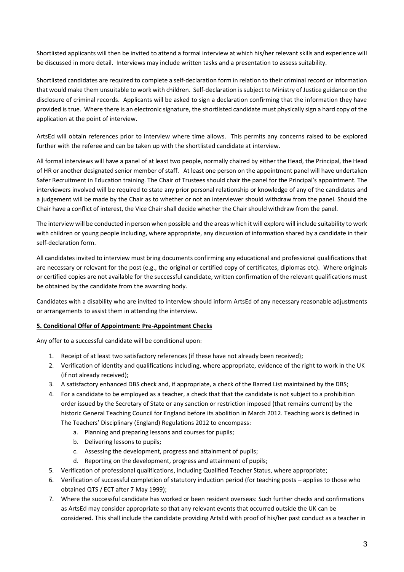Shortlisted applicants will then be invited to attend a formal interview at which his/her relevant skills and experience will be discussed in more detail. Interviews may include written tasks and a presentation to assess suitability.

Shortlisted candidates are required to complete a self-declaration form in relation to their criminal record or information that would make them unsuitable to work with children. Self-declaration is subject to Ministry of Justice guidance on the disclosure of criminal records. Applicants will be asked to sign a declaration confirming that the information they have provided is true. Where there is an electronic signature, the shortlisted candidate must physically sign a hard copy of the application at the point of interview.

ArtsEd will obtain references prior to interview where time allows. This permits any concerns raised to be explored further with the referee and can be taken up with the shortlisted candidate at interview.

All formal interviews will have a panel of at least two people, normally chaired by either the Head, the Principal, the Head of HR or another designated senior member of staff. At least one person on the appointment panel will have undertaken Safer Recruitment in Education training. The Chair of Trustees should chair the panel for the Principal's appointment. The interviewers involved will be required to state any prior personal relationship or knowledge of any of the candidates and a judgement will be made by the Chair as to whether or not an interviewer should withdraw from the panel. Should the Chair have a conflict of interest, the Vice Chair shall decide whether the Chair should withdraw from the panel.

The interview will be conducted in person when possible and the areas which it will explore will include suitability to work with children or young people including, where appropriate, any discussion of information shared by a candidate in their self-declaration form.

All candidates invited to interview must bring documents confirming any educational and professional qualifications that are necessary or relevant for the post (e.g., the original or certified copy of certificates, diplomas etc). Where originals or certified copies are not available for the successful candidate, written confirmation of the relevant qualifications must be obtained by the candidate from the awarding body.

Candidates with a disability who are invited to interview should inform ArtsEd of any necessary reasonable adjustments or arrangements to assist them in attending the interview.

## **5. Conditional Offer of Appointment: Pre-Appointment Checks**

Any offer to a successful candidate will be conditional upon:

- 1. Receipt of at least two satisfactory references (if these have not already been received);
- 2. Verification of identity and qualifications including, where appropriate, evidence of the right to work in the UK (if not already received);
- 3. A satisfactory enhanced DBS check and, if appropriate, a check of the Barred List maintained by the DBS;
- 4. For a candidate to be employed as a teacher, a check that that the candidate is not subject to a prohibition order issued by the Secretary of State or any sanction or restriction imposed (that remains current) by the historic General Teaching Council for England before its abolition in March 2012. Teaching work is defined in The Teachers' Disciplinary (England) Regulations 2012 to encompass:
	- a. Planning and preparing lessons and courses for pupils;
	- b. Delivering lessons to pupils;
	- c. Assessing the development, progress and attainment of pupils;
	- d. Reporting on the development, progress and attainment of pupils;
- 5. Verification of professional qualifications, including Qualified Teacher Status, where appropriate;
- 6. Verification of successful completion of statutory induction period (for teaching posts applies to those who obtained QTS / ECT after 7 May 1999);
- 7. Where the successful candidate has worked or been resident overseas: Such further checks and confirmations as ArtsEd may consider appropriate so that any relevant events that occurred outside the UK can be considered. This shall include the candidate providing ArtsEd with proof of his/her past conduct as a teacher in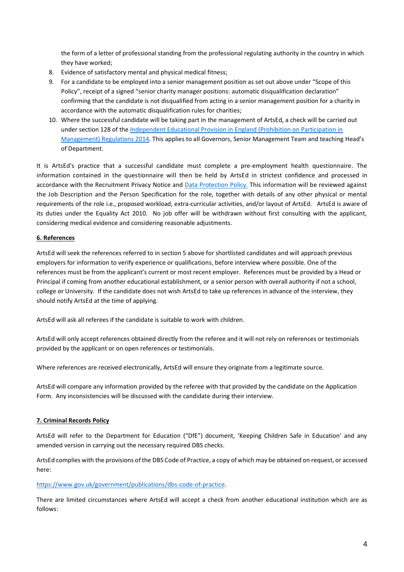the form of a letter of professional standing from the professional regulating authority in the country in which they have worked;

- 8. Evidence of satisfactory mental and physical medical fitness;
- 9. For a candidate to be employed into a senior management position as set out above under "Scope of this Policy", receipt of a signed "senior charity manager positions: automatic disqualification declaration" confirming that the candidate is not disqualified from acting in a senior management position for a charity in accordance with the automatic disqualification rules for charities;
- 10. Where the successful candidate will be taking part in the management of ArtsEd, a check will be carried out under section 128 of the [Independent Educational Provision in England \(Prohibition on Participation in](https://www.legislation.gov.uk/uksi/2014/1977/contents/made)  [Management\) Regulations 2014.](https://www.legislation.gov.uk/uksi/2014/1977/contents/made) This applies to all Governors, Senior Management Team and teaching Head's of Department.

It is ArtsEd's practice that a successful candidate must complete a pre-employment health questionnaire. The information contained in the questionnaire will then be held by ArtsEd in strictest confidence and processed in accordance with the Recruitment Privacy Notice and [Data Protection Policy.](https://artsed003.blob.core.windows.net/policy/data-protection-policy.pdf) This information will be reviewed against the Job Description and the Person Specification for the role, together with details of any other physical or mental requirements of the role i.e., proposed workload, extra-curricular activities, and/or layout of ArtsEd. ArtsEd is aware of its duties under the Equality Act 2010. No job offer will be withdrawn without first consulting with the applicant, considering medical evidence and considering reasonable adjustments.

## **6. References**

ArtsEd will seek the references referred to in section 5 above for shortlisted candidates and will approach previous employers for information to verify experience or qualifications, before interview where possible. One of the references must be from the applicant's current or most recent employer. References must be provided by a Head or Principal if coming from another educational establishment, or a senior person with overall authority if not a school, college or University. If the candidate does not wish ArtsEd to take up references in advance of the interview, they should notify ArtsEd at the time of applying.

ArtsEd will ask all referees if the candidate is suitable to work with children.

ArtsEd will only accept references obtained directly from the referee and it will not rely on references or testimonials provided by the applicant or on open references or testimonials.

Where references are received electronically, ArtsEd will ensure they originate from a legitimate source.

ArtsEd will compare any information provided by the referee with that provided by the candidate on the Application Form. Any inconsistencies will be discussed with the candidate during their interview.

#### **7. Criminal Records Policy**

ArtsEd will refer to the Department for Education ("DfE") document, 'Keeping Children Safe in Education' and any amended version in carrying out the necessary required DBS checks.

ArtsEd complies with the provisions of the DBS Code of Practice, a copy of which may be obtained on request, or accessed here:

#### [https://www.gov.uk/government/publications/dbs-code-of-practice.](https://www.gov.uk/government/publications/dbs-code-of-practice)

There are limited circumstances where ArtsEd will accept a check from another educational institution which are as follows: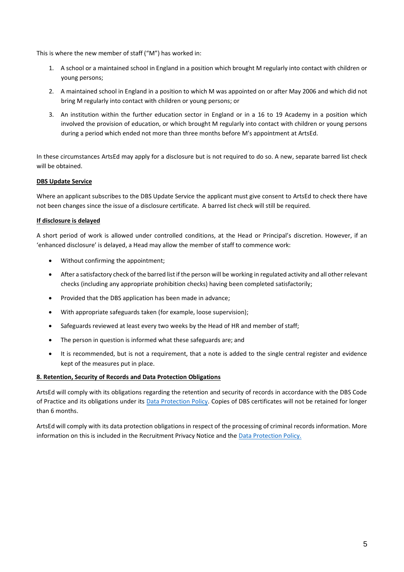This is where the new member of staff ("M") has worked in:

- 1. A school or a maintained school in England in a position which brought M regularly into contact with children or young persons;
- 2. A maintained school in England in a position to which M was appointed on or after May 2006 and which did not bring M regularly into contact with children or young persons; or
- 3. An institution within the further education sector in England or in a 16 to 19 Academy in a position which involved the provision of education, or which brought M regularly into contact with children or young persons during a period which ended not more than three months before M's appointment at ArtsEd.

In these circumstances ArtsEd may apply for a disclosure but is not required to do so. A new, separate barred list check will be obtained.

## **DBS Update Service**

Where an applicant subscribes to the DBS Update Service the applicant must give consent to ArtsEd to check there have not been changes since the issue of a disclosure certificate. A barred list check will still be required.

## **If disclosure is delayed**

A short period of work is allowed under controlled conditions, at the Head or Principal's discretion. However, if an 'enhanced disclosure' is delayed, a Head may allow the member of staff to commence work:

- Without confirming the appointment;
- After a satisfactory check of the barred list if the person will be working in regulated activity and all other relevant checks (including any appropriate prohibition checks) having been completed satisfactorily;
- Provided that the DBS application has been made in advance;
- With appropriate safeguards taken (for example, loose supervision);
- Safeguards reviewed at least every two weeks by the Head of HR and member of staff;
- The person in question is informed what these safeguards are; and
- It is recommended, but is not a requirement, that a note is added to the single central register and evidence kept of the measures put in place.

#### **8. Retention, Security of Records and Data Protection Obligations**

ArtsEd will comply with its obligations regarding the retention and security of records in accordance with the DBS Code of Practice and its obligations under its [Data Protection Policy.](https://artsed003.blob.core.windows.net/policy/data-protection-policy.pdf) Copies of DBS certificates will not be retained for longer than 6 months.

ArtsEd will comply with its data protection obligations in respect of the processing of criminal records information. More information on this is included in the Recruitment Privacy Notice and the [Data Protection Policy.](https://artsed003.blob.core.windows.net/policy/data-protection-policy.pdf)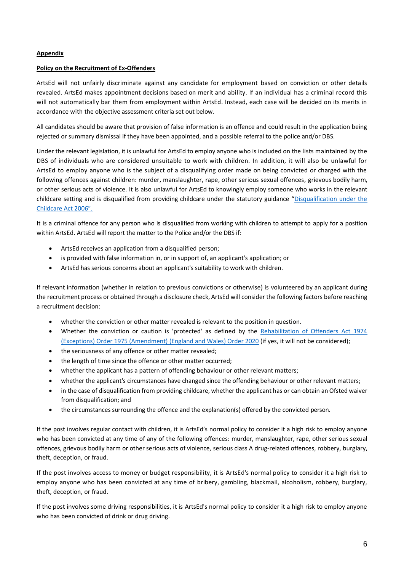### **Appendix**

### **Policy on the Recruitment of Ex-Offenders**

ArtsEd will not unfairly discriminate against any candidate for employment based on conviction or other details revealed. ArtsEd makes appointment decisions based on merit and ability. If an individual has a criminal record this will not automatically bar them from employment within ArtsEd. Instead, each case will be decided on its merits in accordance with the objective assessment criteria set out below.

All candidates should be aware that provision of false information is an offence and could result in the application being rejected or summary dismissal if they have been appointed, and a possible referral to the police and/or DBS.

Under the relevant legislation, it is unlawful for ArtsEd to employ anyone who is included on the lists maintained by the DBS of individuals who are considered unsuitable to work with children. In addition, it will also be unlawful for ArtsEd to employ anyone who is the subject of a disqualifying order made on being convicted or charged with the following offences against children: murder, manslaughter, rape, other serious sexual offences, grievous bodily harm, or other serious acts of violence. It is also unlawful for ArtsEd to knowingly employ someone who works in the relevant childcare setting and is disqualified from providing childcare under the statutory guidance "[Disqualification under the](https://www.gov.uk/government/publications/disqualification-under-the-childcare-act-2006)  [Childcare Act 2006".](https://www.gov.uk/government/publications/disqualification-under-the-childcare-act-2006)

It is a criminal offence for any person who is disqualified from working with children to attempt to apply for a position within ArtsEd. ArtsEd will report the matter to the Police and/or the DBS if:

- ArtsEd receives an application from a disqualified person;
- is provided with false information in, or in support of, an applicant's application; or
- ArtsEd has serious concerns about an applicant's suitability to work with children.

If relevant information (whether in relation to previous convictions or otherwise) is volunteered by an applicant during the recruitment process or obtained through a disclosure check, ArtsEd will consider the following factors before reaching a recruitment decision:

- whether the conviction or other matter revealed is relevant to the position in question.
- Whether the conviction or caution is 'protected' as defined by the [Rehabilitation of Offenders Act 1974](https://www.legislation.gov.uk/ukdsi/2020/9780348209648)  [\(Exceptions\) Order 1975 \(Amendment\) \(England and Wales\) Order 2020](https://www.legislation.gov.uk/ukdsi/2020/9780348209648) (if yes, it will not be considered);
- the seriousness of any offence or other matter revealed;
- the length of time since the offence or other matter occurred;
- whether the applicant has a pattern of offending behaviour or other relevant matters;
- whether the applicant's circumstances have changed since the offending behaviour or other relevant matters;
- in the case of disqualification from providing childcare, whether the applicant has or can obtain an Ofsted waiver from disqualification; and
- the circumstances surrounding the offence and the explanation(s) offered by the convicted person.

If the post involves regular contact with children, it is ArtsEd's normal policy to consider it a high risk to employ anyone who has been convicted at any time of any of the following offences: murder, manslaughter, rape, other serious sexual offences, grievous bodily harm or other serious acts of violence, serious class A drug-related offences, robbery, burglary, theft, deception, or fraud.

If the post involves access to money or budget responsibility, it is ArtsEd's normal policy to consider it a high risk to employ anyone who has been convicted at any time of bribery, gambling, blackmail, alcoholism, robbery, burglary, theft, deception, or fraud.

If the post involves some driving responsibilities, it is ArtsEd's normal policy to consider it a high risk to employ anyone who has been convicted of drink or drug driving.